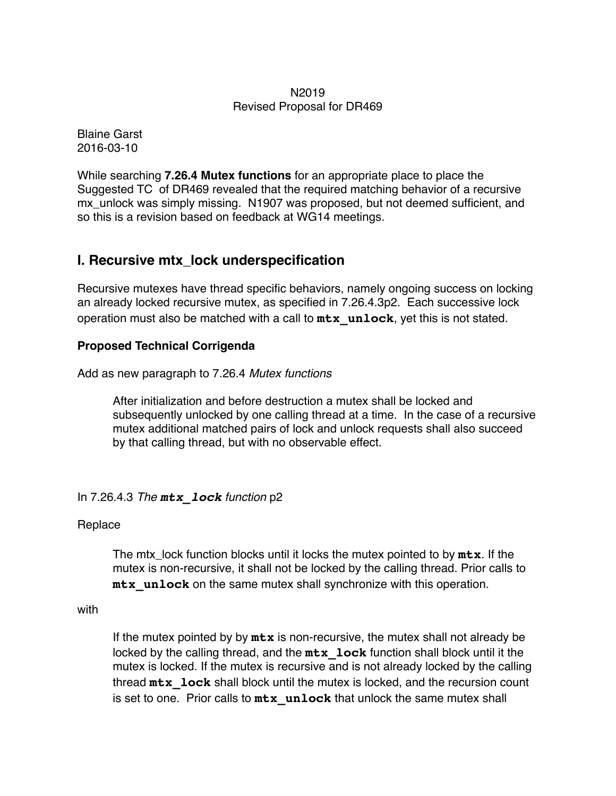#### N2019 Revised Proposal for DR469

Blaine Garst 2016-03-10

While searching **7.26.4 Mutex functions** for an appropriate place to place the Suggested TC of DR469 revealed that the required matching behavior of a recursive mx unlock was simply missing. N1907 was proposed, but not deemed sufficient, and so this is a revision based on feedback at WG14 meetings.

# **I. Recursive mtx\_lock underspecification**

Recursive mutexes have thread specific behaviors, namely ongoing success on locking an already locked recursive mutex, as specified in 7.26.4.3p2. Each successive lock operation must also be matched with a call to **mtx\_unlock**, yet this is not stated.

## **Proposed Technical Corrigenda**

Add as new paragraph to 7.26.4 *Mutex functions*

After initialization and before destruction a mutex shall be locked and subsequently unlocked by one calling thread at a time. In the case of a recursive mutex additional matched pairs of lock and unlock requests shall also succeed by that calling thread, but with no observable effect.

## In 7.26.4.3 *The mtx\_lock function* p2

## Replace

The mtx\_lock function blocks until it locks the mutex pointed to by **mtx**. If the mutex is non-recursive, it shall not be locked by the calling thread. Prior calls to **mtx** unlock on the same mutex shall synchronize with this operation.

with

If the mutex pointed by by **mtx** is non-recursive, the mutex shall not already be locked by the calling thread, and the **mtx\_lock** function shall block until it the mutex is locked. If the mutex is recursive and is not already locked by the calling thread **mtx\_lock** shall block until the mutex is locked, and the recursion count is set to one. Prior calls to  $mtx$  unlock that unlock the same mutex shall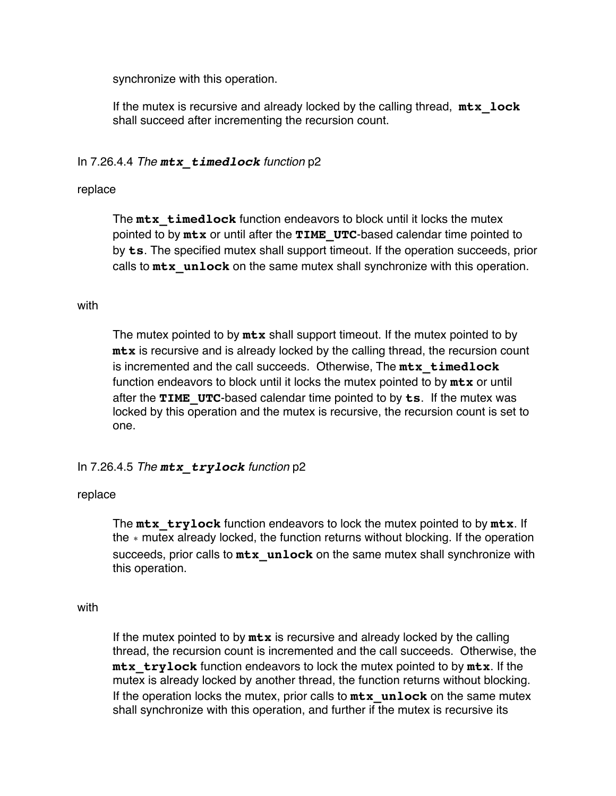synchronize with this operation.

If the mutex is recursive and already locked by the calling thread, **mtx\_lock** shall succeed after incrementing the recursion count.

## In 7.26.4.4 *The mtx\_timedlock function* p2

#### replace

The **mtx\_timedlock** function endeavors to block until it locks the mutex pointed to by **mtx** or until after the **TIME\_UTC**-based calendar time pointed to by **ts**. The specified mutex shall support timeout. If the operation succeeds, prior calls to **mtx\_unlock** on the same mutex shall synchronize with this operation.

#### with

The mutex pointed to by **mtx** shall support timeout. If the mutex pointed to by **mtx** is recursive and is already locked by the calling thread, the recursion count is incremented and the call succeeds. Otherwise, The **mtx\_timedlock** function endeavors to block until it locks the mutex pointed to by **mtx** or until after the **TIME\_UTC**-based calendar time pointed to by **ts**. If the mutex was locked by this operation and the mutex is recursive, the recursion count is set to one.

## In 7.26.4.5 *The mtx\_trylock function* p2

## replace

The **mtx\_trylock** function endeavors to lock the mutex pointed to by **mtx**. If the ∗ mutex already locked, the function returns without blocking. If the operation succeeds, prior calls to **mtx\_unlock** on the same mutex shall synchronize with this operation.

#### with

If the mutex pointed to by **mtx** is recursive and already locked by the calling thread, the recursion count is incremented and the call succeeds. Otherwise, the **mtx** trylock function endeavors to lock the mutex pointed to by  $mtx$ . If the mutex is already locked by another thread, the function returns without blocking. If the operation locks the mutex, prior calls to  $mtx$  unlock on the same mutex shall synchronize with this operation, and further if the mutex is recursive its